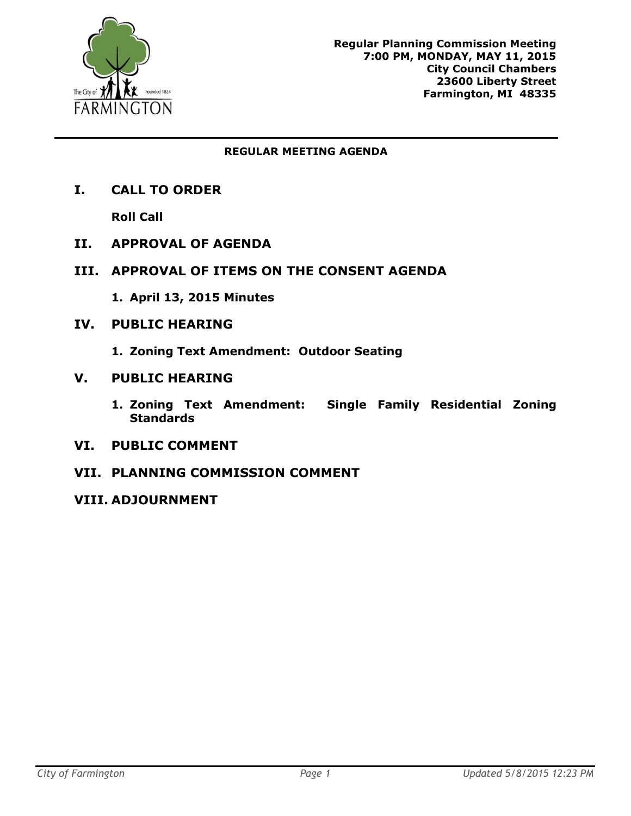

#### **REGULAR MEETING AGENDA**

**I. CALL TO ORDER**

**Roll Call**

- **II. APPROVAL OF AGENDA**
- **III. APPROVAL OF ITEMS ON THE CONSENT AGENDA**
	- **1. April 13, 2015 Minutes**
- **IV. PUBLIC HEARING**
	- **1. Zoning Text Amendment: Outdoor Seating**
- **V. PUBLIC HEARING**
	- **1. Zoning Text Amendment: Single Family Residential Zoning Standards**
- **VI. PUBLIC COMMENT**
- **VII. PLANNING COMMISSION COMMENT**
- **VIII. ADJOURNMENT**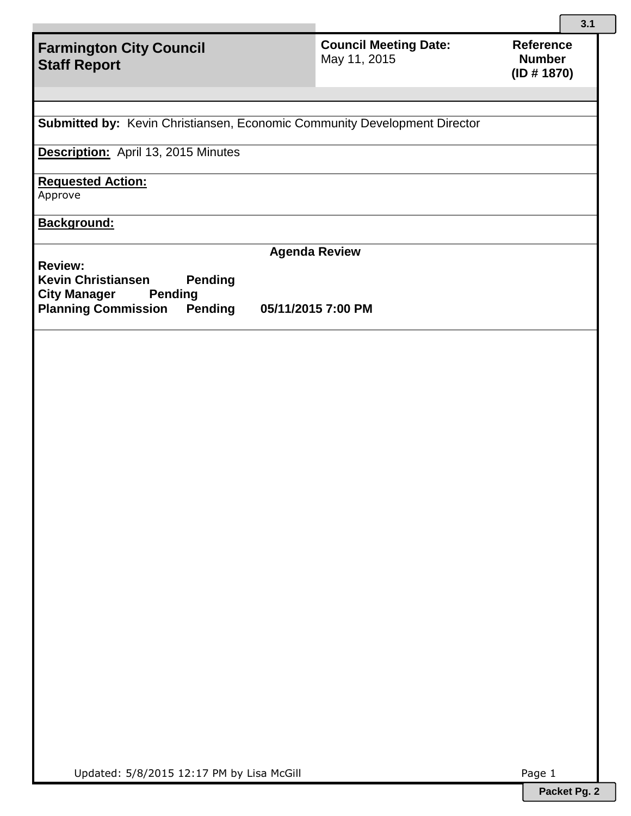# **Farmington City Council Staff Report**

**Council Meeting Date:**  May 11, 2015

**Submitted by:** Kevin Christiansen, Economic Community Development Director

**Description:** April 13, 2015 Minutes

**Requested Action:**

Approve

**Background:**

**Review: Kevin Christiansen Pending**

**City Manager Planning Commission Pending 05/11/2015 7:00 PM**

**Agenda Review**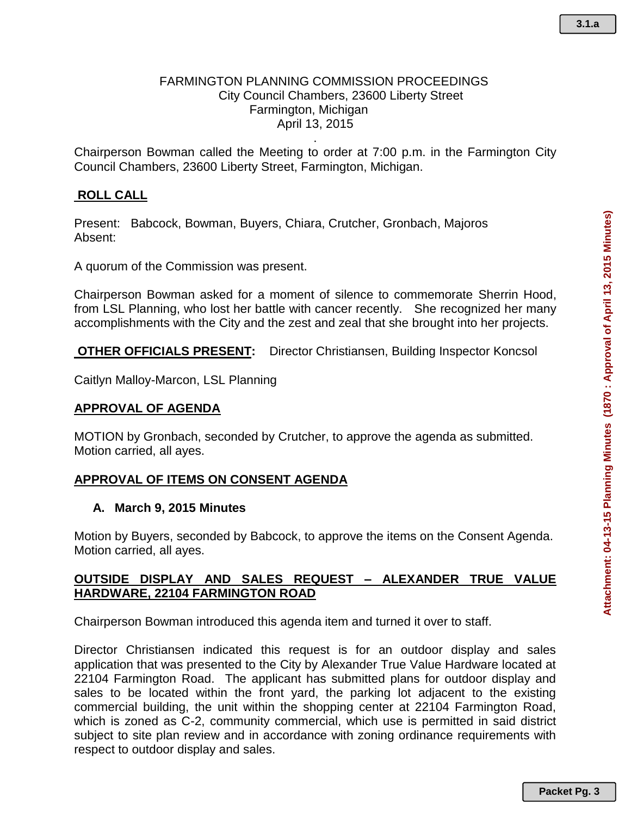### FARMINGTON PLANNING COMMISSION PROCEEDINGS City Council Chambers, 23600 Liberty Street Farmington, Michigan April 13, 2015

Chairperson Bowman called the Meeting to order at 7:00 p.m. in the Farmington City Council Chambers, 23600 Liberty Street, Farmington, Michigan.

.

### **ROLL CALL**

Present: Babcock, Bowman, Buyers, Chiara, Crutcher, Gronbach, Majoros Absent:

A quorum of the Commission was present.

Chairperson Bowman asked for a moment of silence to commemorate Sherrin Hood, from LSL Planning, who lost her battle with cancer recently. She recognized her many accomplishments with the City and the zest and zeal that she brought into her projects.

**OTHER OFFICIALS PRESENT:** Director Christiansen, Building Inspector Koncsol

Caitlyn Malloy-Marcon, LSL Planning

### **APPROVAL OF AGENDA**

MOTION by Gronbach, seconded by Crutcher, to approve the agenda as submitted. Motion carried, all ayes.

### **APPROVAL OF ITEMS ON CONSENT AGENDA**

#### **A. March 9, 2015 Minutes**

Motion by Buyers, seconded by Babcock, to approve the items on the Consent Agenda. Motion carried, all ayes.

### **OUTSIDE DISPLAY AND SALES REQUEST – ALEXANDER TRUE VALUE HARDWARE, 22104 FARMINGTON ROAD**

Chairperson Bowman introduced this agenda item and turned it over to staff.

Director Christiansen indicated this request is for an outdoor display and sales application that was presented to the City by Alexander True Value Hardware located at 22104 Farmington Road. The applicant has submitted plans for outdoor display and sales to be located within the front yard, the parking lot adjacent to the existing commercial building, the unit within the shopping center at 22104 Farmington Road, which is zoned as C-2, community commercial, which use is permitted in said district subject to site plan review and in accordance with zoning ordinance requirements with respect to outdoor display and sales.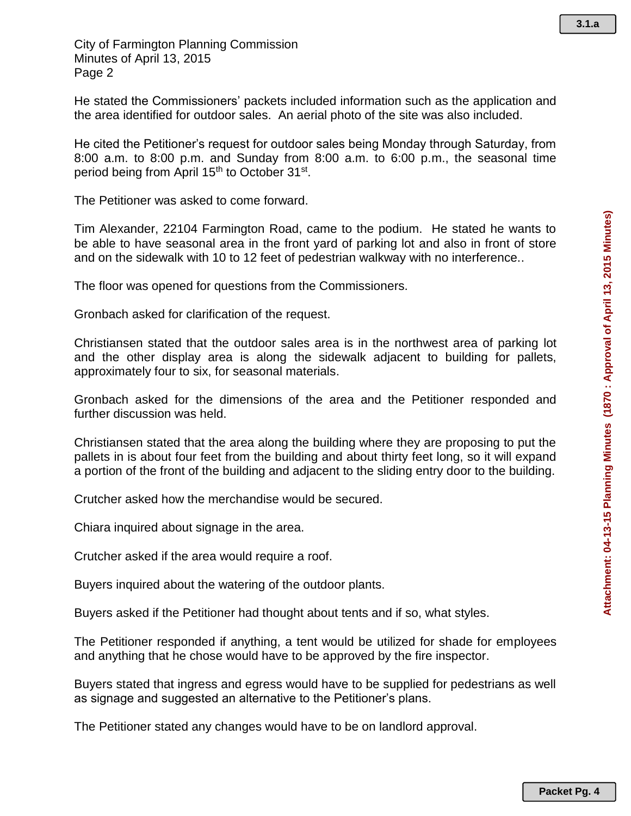City of Farmington Planning Commission Minutes of April 13, 2015 Page 2

He stated the Commissioners' packets included information such as the application and the area identified for outdoor sales. An aerial photo of the site was also included.

He cited the Petitioner's request for outdoor sales being Monday through Saturday, from 8:00 a.m. to 8:00 p.m. and Sunday from 8:00 a.m. to 6:00 p.m., the seasonal time period being from April 15<sup>th</sup> to October 31<sup>st</sup>.

The Petitioner was asked to come forward.

Tim Alexander, 22104 Farmington Road, came to the podium. He stated he wants to be able to have seasonal area in the front yard of parking lot and also in front of store and on the sidewalk with 10 to 12 feet of pedestrian walkway with no interference..

The floor was opened for questions from the Commissioners.

Gronbach asked for clarification of the request.

Christiansen stated that the outdoor sales area is in the northwest area of parking lot and the other display area is along the sidewalk adjacent to building for pallets, approximately four to six, for seasonal materials.

Gronbach asked for the dimensions of the area and the Petitioner responded and further discussion was held.

Christiansen stated that the area along the building where they are proposing to put the pallets in is about four feet from the building and about thirty feet long, so it will expand a portion of the front of the building and adjacent to the sliding entry door to the building.

Crutcher asked how the merchandise would be secured.

Chiara inquired about signage in the area.

Crutcher asked if the area would require a roof.

Buyers inquired about the watering of the outdoor plants.

Buyers asked if the Petitioner had thought about tents and if so, what styles.

The Petitioner responded if anything, a tent would be utilized for shade for employees and anything that he chose would have to be approved by the fire inspector.

Buyers stated that ingress and egress would have to be supplied for pedestrians as well as signage and suggested an alternative to the Petitioner's plans.

The Petitioner stated any changes would have to be on landlord approval.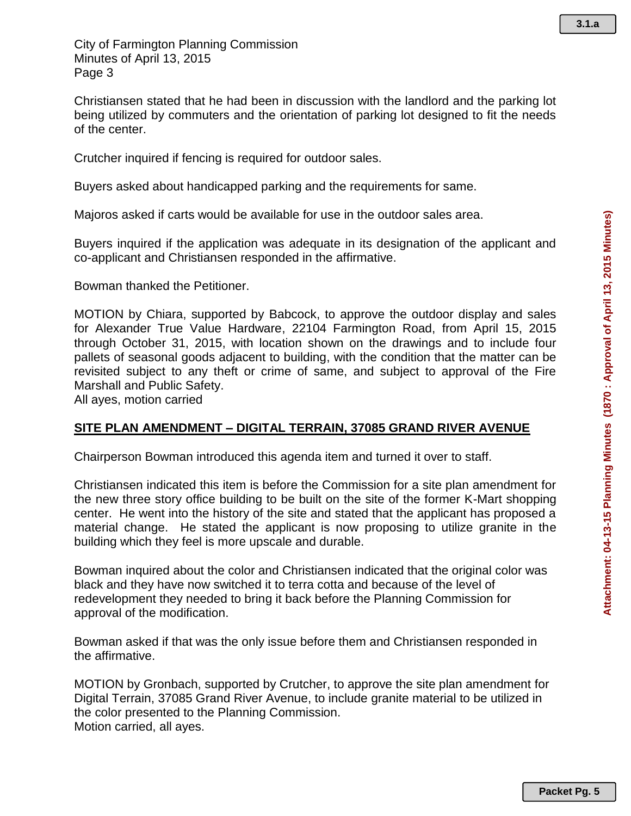Christiansen stated that he had been in discussion with the landlord and the parking lot being utilized by commuters and the orientation of parking lot designed to fit the needs of the center.

Crutcher inquired if fencing is required for outdoor sales.

Buyers asked about handicapped parking and the requirements for same.

Majoros asked if carts would be available for use in the outdoor sales area.

Buyers inquired if the application was adequate in its designation of the applicant and co-applicant and Christiansen responded in the affirmative.

Bowman thanked the Petitioner.

MOTION by Chiara, supported by Babcock, to approve the outdoor display and sales for Alexander True Value Hardware, 22104 Farmington Road, from April 15, 2015 through October 31, 2015, with location shown on the drawings and to include four pallets of seasonal goods adjacent to building, with the condition that the matter can be revisited subject to any theft or crime of same, and subject to approval of the Fire Marshall and Public Safety.

All ayes, motion carried

# **SITE PLAN AMENDMENT – DIGITAL TERRAIN, 37085 GRAND RIVER AVENUE**

Chairperson Bowman introduced this agenda item and turned it over to staff.

Christiansen indicated this item is before the Commission for a site plan amendment for the new three story office building to be built on the site of the former K-Mart shopping center. He went into the history of the site and stated that the applicant has proposed a material change. He stated the applicant is now proposing to utilize granite in the building which they feel is more upscale and durable.

Bowman inquired about the color and Christiansen indicated that the original color was black and they have now switched it to terra cotta and because of the level of redevelopment they needed to bring it back before the Planning Commission for approval of the modification.

Bowman asked if that was the only issue before them and Christiansen responded in the affirmative.

MOTION by Gronbach, supported by Crutcher, to approve the site plan amendment for Digital Terrain, 37085 Grand River Avenue, to include granite material to be utilized in the color presented to the Planning Commission. Motion carried, all ayes.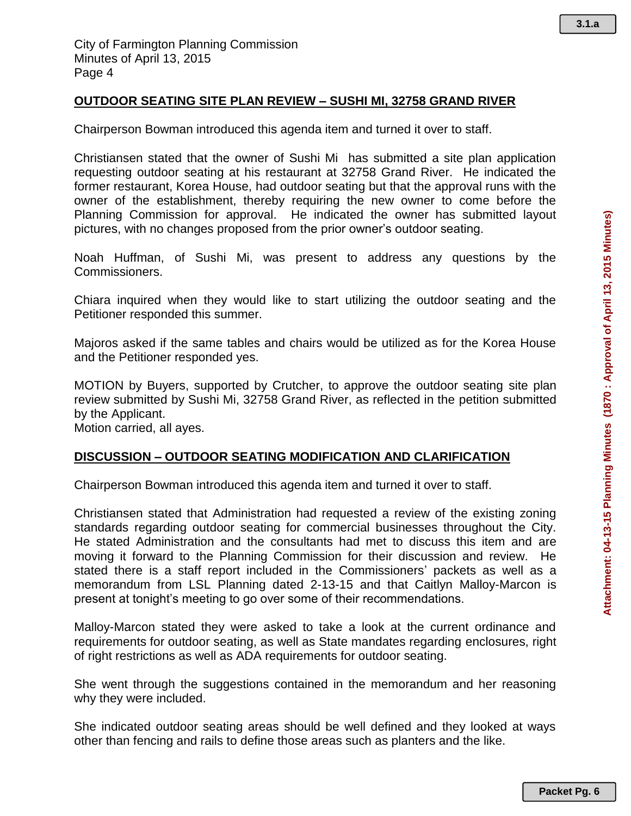## **OUTDOOR SEATING SITE PLAN REVIEW – SUSHI MI, 32758 GRAND RIVER**

Chairperson Bowman introduced this agenda item and turned it over to staff.

Christiansen stated that the owner of Sushi Mi has submitted a site plan application requesting outdoor seating at his restaurant at 32758 Grand River. He indicated the former restaurant, Korea House, had outdoor seating but that the approval runs with the owner of the establishment, thereby requiring the new owner to come before the Planning Commission for approval. He indicated the owner has submitted layout pictures, with no changes proposed from the prior owner's outdoor seating.

Noah Huffman, of Sushi Mi, was present to address any questions by the Commissioners.

Chiara inquired when they would like to start utilizing the outdoor seating and the Petitioner responded this summer.

Majoros asked if the same tables and chairs would be utilized as for the Korea House and the Petitioner responded yes.

MOTION by Buyers, supported by Crutcher, to approve the outdoor seating site plan review submitted by Sushi Mi, 32758 Grand River, as reflected in the petition submitted by the Applicant.

Motion carried, all ayes.

### **DISCUSSION – OUTDOOR SEATING MODIFICATION AND CLARIFICATION**

Chairperson Bowman introduced this agenda item and turned it over to staff.

Christiansen stated that Administration had requested a review of the existing zoning standards regarding outdoor seating for commercial businesses throughout the City. He stated Administration and the consultants had met to discuss this item and are moving it forward to the Planning Commission for their discussion and review. He stated there is a staff report included in the Commissioners' packets as well as a memorandum from LSL Planning dated 2-13-15 and that Caitlyn Malloy-Marcon is present at tonight's meeting to go over some of their recommendations.

Malloy-Marcon stated they were asked to take a look at the current ordinance and requirements for outdoor seating, as well as State mandates regarding enclosures, right of right restrictions as well as ADA requirements for outdoor seating.

She went through the suggestions contained in the memorandum and her reasoning why they were included.

She indicated outdoor seating areas should be well defined and they looked at ways other than fencing and rails to define those areas such as planters and the like.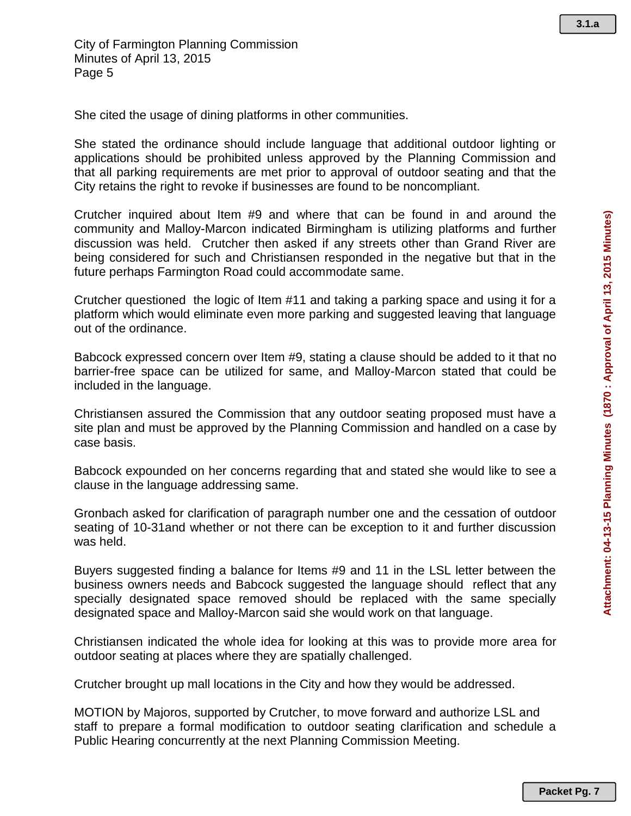She cited the usage of dining platforms in other communities.

She stated the ordinance should include language that additional outdoor lighting or applications should be prohibited unless approved by the Planning Commission and that all parking requirements are met prior to approval of outdoor seating and that the City retains the right to revoke if businesses are found to be noncompliant.

Crutcher inquired about Item #9 and where that can be found in and around the community and Malloy-Marcon indicated Birmingham is utilizing platforms and further discussion was held. Crutcher then asked if any streets other than Grand River are being considered for such and Christiansen responded in the negative but that in the future perhaps Farmington Road could accommodate same.

Crutcher questioned the logic of Item #11 and taking a parking space and using it for a platform which would eliminate even more parking and suggested leaving that language out of the ordinance.

Babcock expressed concern over Item #9, stating a clause should be added to it that no barrier-free space can be utilized for same, and Malloy-Marcon stated that could be included in the language.

Christiansen assured the Commission that any outdoor seating proposed must have a site plan and must be approved by the Planning Commission and handled on a case by case basis.

Babcock expounded on her concerns regarding that and stated she would like to see a clause in the language addressing same.

Gronbach asked for clarification of paragraph number one and the cessation of outdoor seating of 10-31and whether or not there can be exception to it and further discussion was held.

Buyers suggested finding a balance for Items #9 and 11 in the LSL letter between the business owners needs and Babcock suggested the language should reflect that any specially designated space removed should be replaced with the same specially designated space and Malloy-Marcon said she would work on that language.

Christiansen indicated the whole idea for looking at this was to provide more area for outdoor seating at places where they are spatially challenged.

Crutcher brought up mall locations in the City and how they would be addressed.

MOTION by Majoros, supported by Crutcher, to move forward and authorize LSL and staff to prepare a formal modification to outdoor seating clarification and schedule a Public Hearing concurrently at the next Planning Commission Meeting.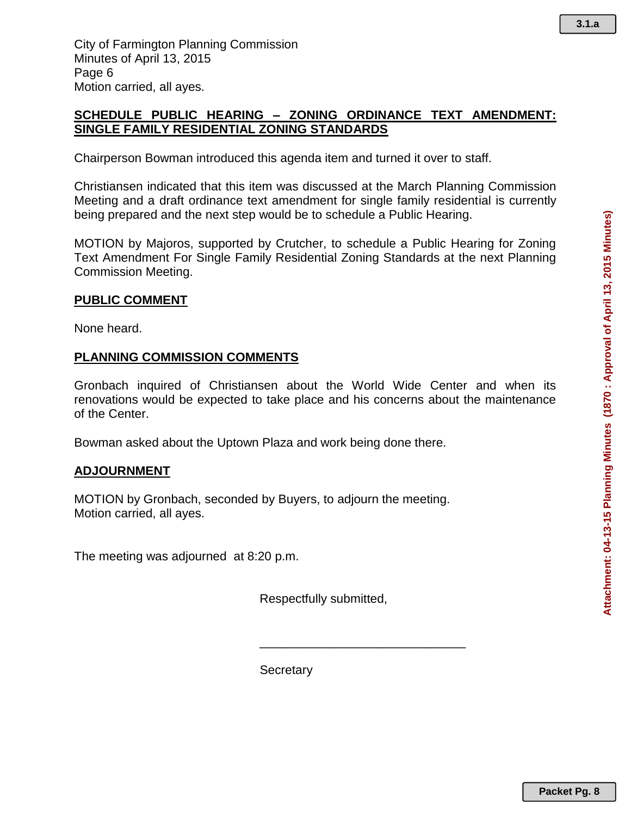## **SCHEDULE PUBLIC HEARING – ZONING ORDINANCE TEXT AMENDMENT: SINGLE FAMILY RESIDENTIAL ZONING STANDARDS**

Chairperson Bowman introduced this agenda item and turned it over to staff.

Christiansen indicated that this item was discussed at the March Planning Commission Meeting and a draft ordinance text amendment for single family residential is currently being prepared and the next step would be to schedule a Public Hearing.

MOTION by Majoros, supported by Crutcher, to schedule a Public Hearing for Zoning Text Amendment For Single Family Residential Zoning Standards at the next Planning Commission Meeting.

## **PUBLIC COMMENT**

None heard.

## **PLANNING COMMISSION COMMENTS**

Gronbach inquired of Christiansen about the World Wide Center and when its renovations would be expected to take place and his concerns about the maintenance of the Center.

Bowman asked about the Uptown Plaza and work being done there.

### **ADJOURNMENT**

MOTION by Gronbach, seconded by Buyers, to adjourn the meeting. Motion carried, all ayes.

The meeting was adjourned at 8:20 p.m.

Respectfully submitted,

\_\_\_\_\_\_\_\_\_\_\_\_\_\_\_\_\_\_\_\_\_\_\_\_\_\_\_\_\_\_

**Secretary**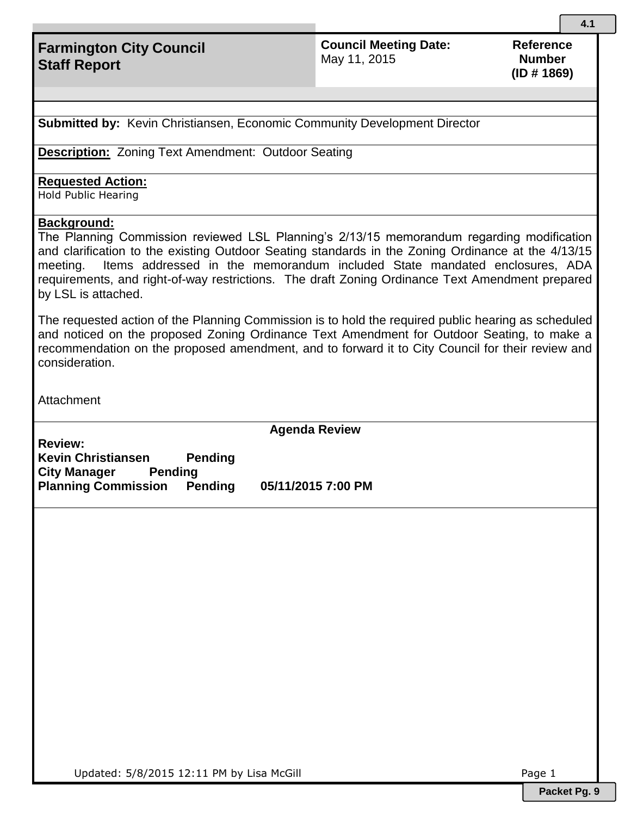# **Farmington City Council Staff Report**

**Council Meeting Date:**  May 11, 2015

**Reference Number (ID # 1869)**

**Submitted by:** Kevin Christiansen, Economic Community Development Director

**Description:** Zoning Text Amendment: Outdoor Seating

#### **Requested Action:**

Hold Public Hearing

### **Background:**

The Planning Commission reviewed LSL Planning's 2/13/15 memorandum regarding modification and clarification to the existing Outdoor Seating standards in the Zoning Ordinance at the 4/13/15 meeting. Items addressed in the memorandum included State mandated enclosures, ADA requirements, and right-of-way restrictions. The draft Zoning Ordinance Text Amendment prepared by LSL is attached.

The requested action of the Planning Commission is to hold the required public hearing as scheduled and noticed on the proposed Zoning Ordinance Text Amendment for Outdoor Seating, to make a recommendation on the proposed amendment, and to forward it to City Council for their review and consideration.

Attachment

**Agenda Review**

**Review: Kevin Christiansen Pending City Manager Pending Planning Commission Pending 05/11/2015 7:00 PM**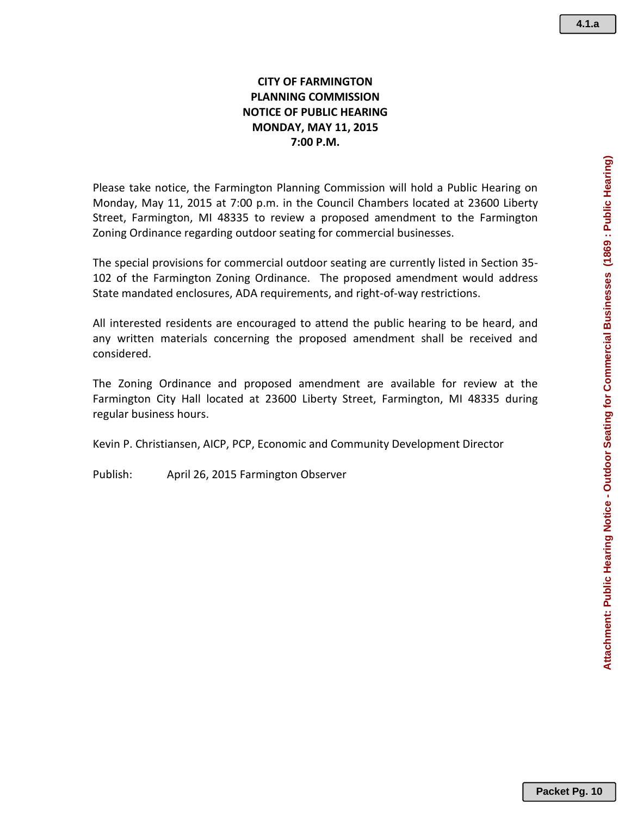## **CITY OF FARMINGTON PLANNING COMMISSION NOTICE OF PUBLIC HEARING MONDAY, MAY 11, 2015 7:00 P.M.**

Please take notice, the Farmington Planning Commission will hold a Public Hearing on Monday, May 11, 2015 at 7:00 p.m. in the Council Chambers located at 23600 Liberty Street, Farmington, MI 48335 to review a proposed amendment to the Farmington Zoning Ordinance regarding outdoor seating for commercial businesses.

The special provisions for commercial outdoor seating are currently listed in Section 35- 102 of the Farmington Zoning Ordinance. The proposed amendment would address State mandated enclosures, ADA requirements, and right-of-way restrictions.

All interested residents are encouraged to attend the public hearing to be heard, and any written materials concerning the proposed amendment shall be received and considered.

The Zoning Ordinance and proposed amendment are available for review at the Farmington City Hall located at 23600 Liberty Street, Farmington, MI 48335 during regular business hours.

Kevin P. Christiansen, AICP, PCP, Economic and Community Development Director

Publish: April 26, 2015 Farmington Observer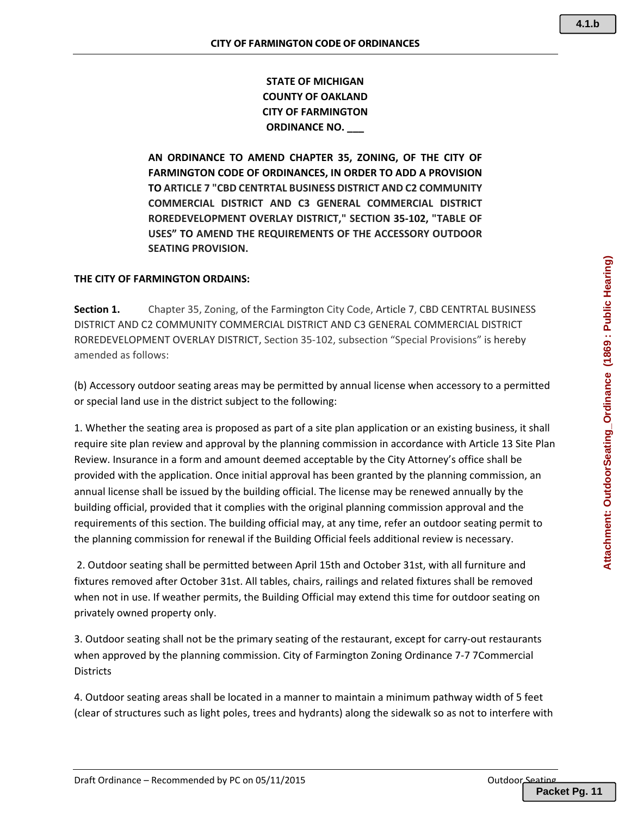**STATE OF MICHIGAN COUNTY OF OAKLAND CITY OF FARMINGTON ORDINANCE NO. \_\_\_**

**AN ORDINANCE TO AMEND CHAPTER 35, ZONING, OF THE CITY OF FARMINGTON CODE OF ORDINANCES, IN ORDER TO ADD A PROVISION TO ARTICLE 7 "CBD CENTRTAL BUSINESS DISTRICT AND C2 COMMUNITY COMMERCIAL DISTRICT AND C3 GENERAL COMMERCIAL DISTRICT ROREDEVELOPMENT OVERLAY DISTRICT," SECTION 35‐102, "TABLE OF USES" TO AMEND THE REQUIREMENTS OF THE ACCESSORY OUTDOOR SEATING PROVISION.**

#### **THE CITY OF FARMINGTON ORDAINS:**

**Section 1.** Chapter 35, Zoning, of the Farmington City Code, Article 7, CBD CENTRTAL BUSINESS DISTRICT AND C2 COMMUNITY COMMERCIAL DISTRICT AND C3 GENERAL COMMERCIAL DISTRICT ROREDEVELOPMENT OVERLAY DISTRICT, Section 35‐102, subsection "Special Provisions" is hereby amended as follows:

(b) Accessory outdoor seating areas may be permitted by annual license when accessory to a permitted or special land use in the district subject to the following:

1. Whether the seating area is proposed as part of a site plan application or an existing business, it shall require site plan review and approval by the planning commission in accordance with Article 13 Site Plan Review. Insurance in a form and amount deemed acceptable by the City Attorney's office shall be provided with the application. Once initial approval has been granted by the planning commission, an annual license shall be issued by the building official. The license may be renewed annually by the building official, provided that it complies with the original planning commission approval and the requirements of this section. The building official may, at any time, refer an outdoor seating permit to the planning commission for renewal if the Building Official feels additional review is necessary.

2. Outdoor seating shall be permitted between April 15th and October 31st, with all furniture and fixtures removed after October 31st. All tables, chairs, railings and related fixtures shall be removed when not in use. If weather permits, the Building Official may extend this time for outdoor seating on privately owned property only.

3. Outdoor seating shall not be the primary seating of the restaurant, except for carry-out restaurants when approved by the planning commission. City of Farmington Zoning Ordinance 7‐7 7Commercial **Districts** 

4. Outdoor seating areas shall be located in a manner to maintain a minimum pathway width of 5 feet (clear of structures such as light poles, trees and hydrants) along the sidewalk so as not to interfere with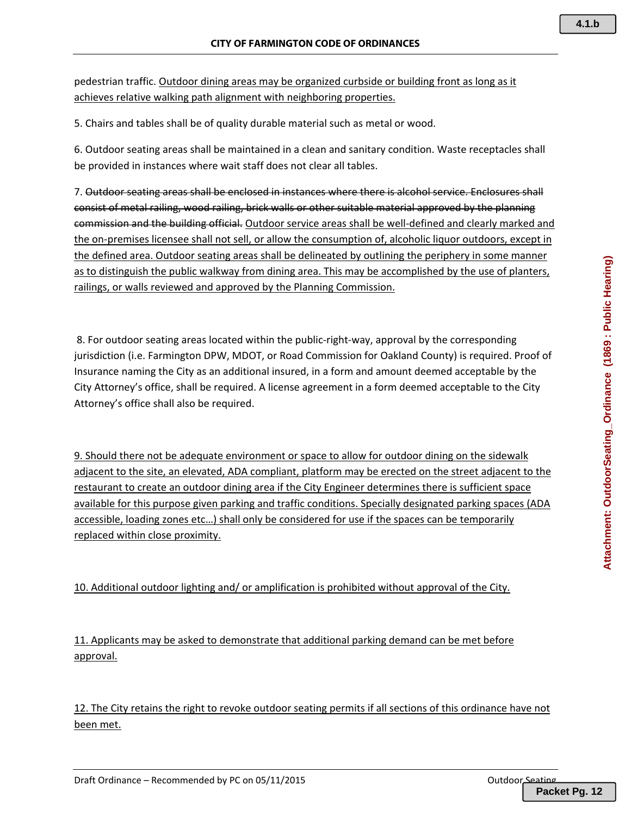pedestrian traffic. Outdoor dining areas may be organized curbside or building front as long as it achieves relative walking path alignment with neighboring properties.

5. Chairs and tables shall be of quality durable material such as metal or wood.

6. Outdoor seating areas shall be maintained in a clean and sanitary condition. Waste receptacles shall be provided in instances where wait staff does not clear all tables.

7. Outdoor seating areas shall be enclosed in instances where there is alcohol service. Enclosures shall consist of metal railing, wood railing, brick walls or other suitable material approved by the planning commission and the building official. Outdoor service areas shall be well-defined and clearly marked and the on‐premises licensee shall not sell, or allow the consumption of, alcoholic liquor outdoors, except in the defined area. Outdoor seating areas shall be delineated by outlining the periphery in some manner as to distinguish the public walkway from dining area. This may be accomplished by the use of planters, railings, or walls reviewed and approved by the Planning Commission.

8. For outdoor seating areas located within the public-right-way, approval by the corresponding jurisdiction (i.e. Farmington DPW, MDOT, or Road Commission for Oakland County) is required. Proof of Insurance naming the City as an additional insured, in a form and amount deemed acceptable by the City Attorney's office, shall be required. A license agreement in a form deemed acceptable to the City Attorney's office shall also be required.

9. Should there not be adequate environment or space to allow for outdoor dining on the sidewalk adjacent to the site, an elevated, ADA compliant, platform may be erected on the street adjacent to the restaurant to create an outdoor dining area if the City Engineer determines there is sufficient space available for this purpose given parking and traffic conditions. Specially designated parking spaces (ADA accessible, loading zones etc…) shall only be considered for use if the spaces can be temporarily replaced within close proximity.

10. Additional outdoor lighting and/ or amplification is prohibited without approval of the City.

11. Applicants may be asked to demonstrate that additional parking demand can be met before approval.

12. The City retains the right to revoke outdoor seating permits if all sections of this ordinance have not been met.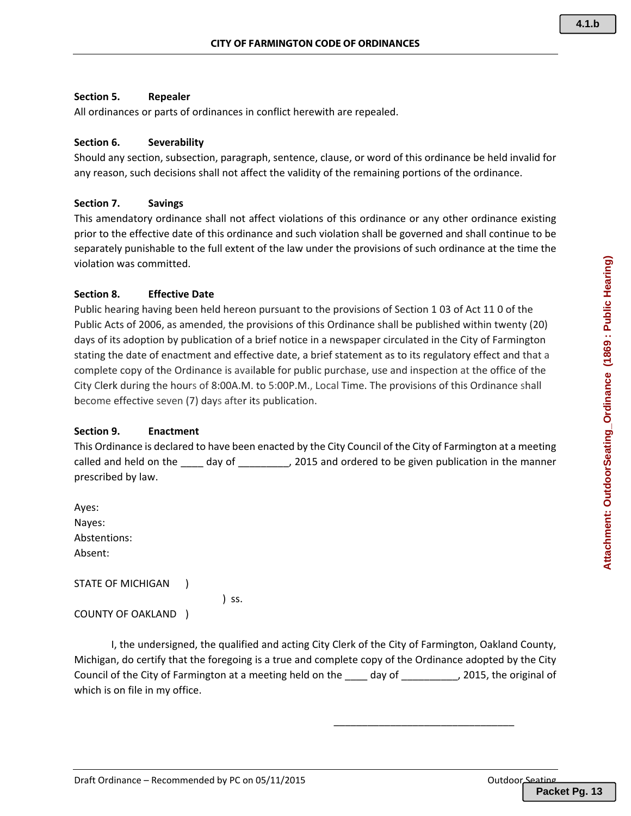#### **Section 5. Repealer**

All ordinances or parts of ordinances in conflict herewith are repealed.

#### **Section 6. Severability**

Should any section, subsection, paragraph, sentence, clause, or word of this ordinance be held invalid for any reason, such decisions shall not affect the validity of the remaining portions of the ordinance.

#### **Section 7. Savings**

This amendatory ordinance shall not affect violations of this ordinance or any other ordinance existing prior to the effective date of this ordinance and such violation shall be governed and shall continue to be separately punishable to the full extent of the law under the provisions of such ordinance at the time the violation was committed.

#### **Section 8. Effective Date**

Public hearing having been held hereon pursuant to the provisions of Section 1 03 of Act 11 0 of the Public Acts of 2006, as amended, the provisions of this Ordinance shall be published within twenty (20) days of its adoption by publication of a brief notice in a newspaper circulated in the City of Farmington stating the date of enactment and effective date, a brief statement as to its regulatory effect and that a complete copy of the Ordinance is available for public purchase, use and inspection at the office of the City Clerk during the hours of 8:00A.M. to 5:00P.M., Local Time. The provisions of this Ordinance shall become effective seven (7) days after its publication.

#### **Section 9. Enactment**

This Ordinance is declared to have been enacted by the City Council of the City of Farmington at a meeting called and held on the \_\_\_\_ day of \_\_\_\_\_\_\_\_, 2015 and ordered to be given publication in the manner prescribed by law.

Ayes: Nayes: Abstentions: Absent:

STATE OF MICHIGAN )

) ss.

COUNTY OF OAKLAND )

I, the undersigned, the qualified and acting City Clerk of the City of Farmington, Oakland County, Michigan, do certify that the foregoing is a true and complete copy of the Ordinance adopted by the City Council of the City of Farmington at a meeting held on the \_\_\_\_ day of \_\_\_\_\_\_\_\_\_\_, 2015, the original of which is on file in my office.

 $\overline{\phantom{a}}$  , and the contract of the contract of the contract of the contract of the contract of the contract of the contract of the contract of the contract of the contract of the contract of the contract of the contrac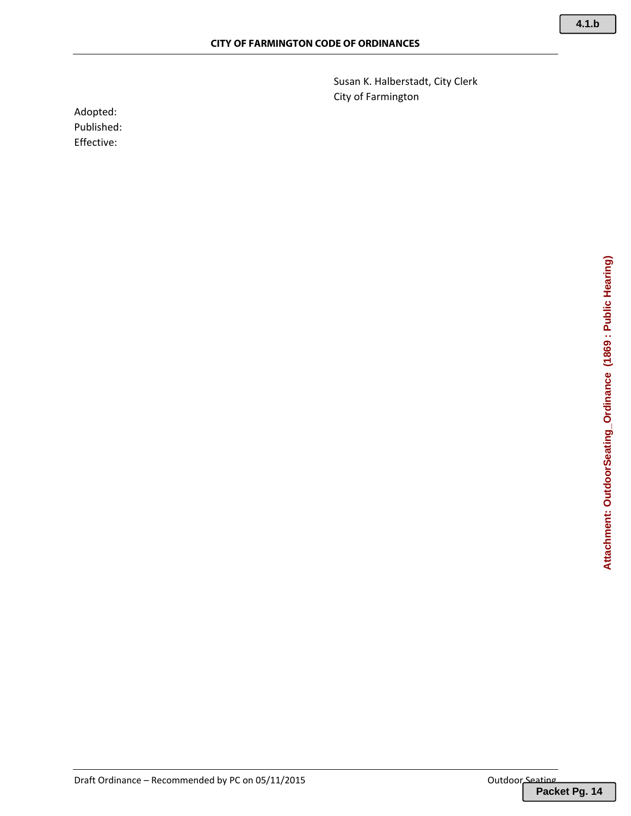Susan K. Halberstadt, City Clerk City of Farmington

Adopted: Published: Effective: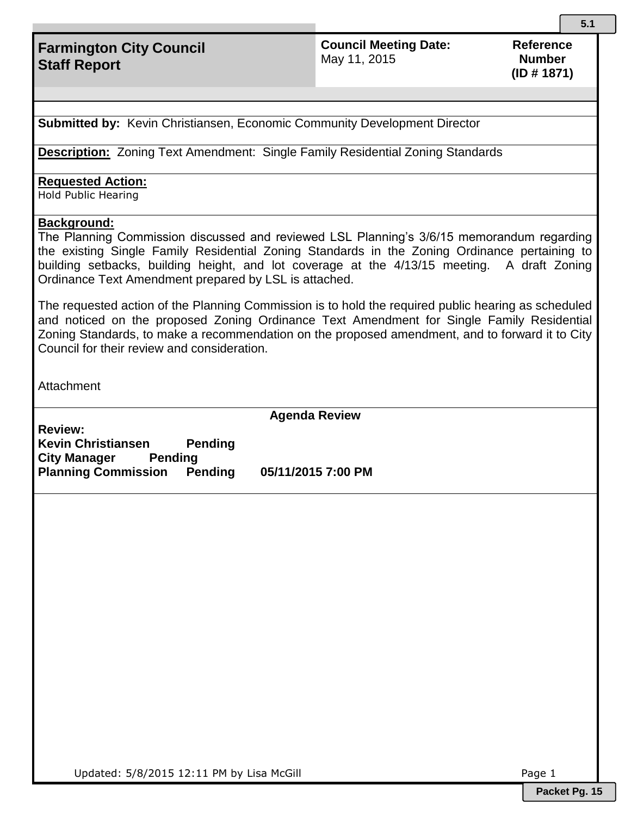# **Farmington City Council Staff Report**

**Council Meeting Date:**  May 11, 2015

**Reference Number (ID # 1871)**

**Submitted by:** Kevin Christiansen, Economic Community Development Director

**Description:** Zoning Text Amendment: Single Family Residential Zoning Standards

#### **Requested Action:**

Hold Public Hearing

### **Background:**

The Planning Commission discussed and reviewed LSL Planning's 3/6/15 memorandum regarding the existing Single Family Residential Zoning Standards in the Zoning Ordinance pertaining to building setbacks, building height, and lot coverage at the 4/13/15 meeting. A draft Zoning Ordinance Text Amendment prepared by LSL is attached.

The requested action of the Planning Commission is to hold the required public hearing as scheduled and noticed on the proposed Zoning Ordinance Text Amendment for Single Family Residential Zoning Standards, to make a recommendation on the proposed amendment, and to forward it to City Council for their review and consideration.

**Attachment** 

**Agenda Review**

**Review: Kevin Christiansen Pending City Manager Pending Planning Commission Pending 05/11/2015 7:00 PM**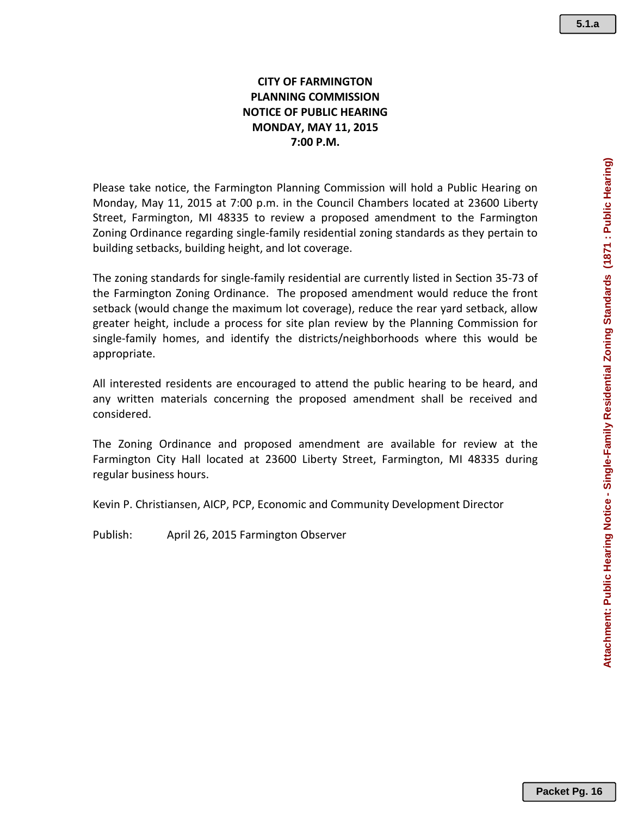Attachment: Public Hearing Notice - Single-Family Residential Zoning Standards (1871 : Public Hearing) **Attachment: Public Hearing Notice - Single-Family Residential Zoning Standards (1871 : Public Hearing)**

# **CITY OF FARMINGTON PLANNING COMMISSION NOTICE OF PUBLIC HEARING MONDAY, MAY 11, 2015 7:00 P.M.**

Please take notice, the Farmington Planning Commission will hold a Public Hearing on Monday, May 11, 2015 at 7:00 p.m. in the Council Chambers located at 23600 Liberty Street, Farmington, MI 48335 to review a proposed amendment to the Farmington Zoning Ordinance regarding single-family residential zoning standards as they pertain to building setbacks, building height, and lot coverage.

The zoning standards for single-family residential are currently listed in Section 35-73 of the Farmington Zoning Ordinance. The proposed amendment would reduce the front setback (would change the maximum lot coverage), reduce the rear yard setback, allow greater height, include a process for site plan review by the Planning Commission for single-family homes, and identify the districts/neighborhoods where this would be appropriate.

All interested residents are encouraged to attend the public hearing to be heard, and any written materials concerning the proposed amendment shall be received and considered.

The Zoning Ordinance and proposed amendment are available for review at the Farmington City Hall located at 23600 Liberty Street, Farmington, MI 48335 during regular business hours.

Kevin P. Christiansen, AICP, PCP, Economic and Community Development Director

Publish: April 26, 2015 Farmington Observer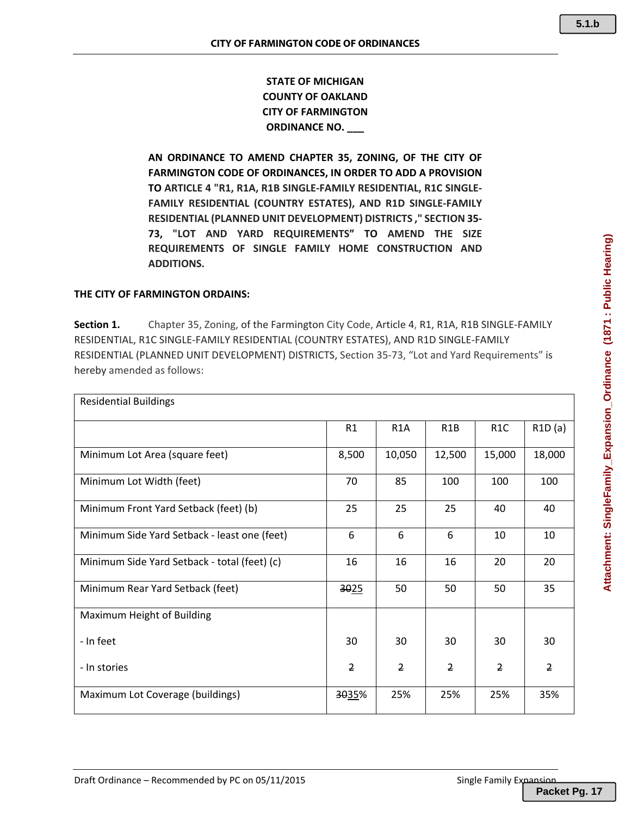# **STATE OF MICHIGAN COUNTY OF OAKLAND CITY OF FARMINGTON ORDINANCE NO. \_\_\_**

**AN ORDINANCE TO AMEND CHAPTER 35, ZONING, OF THE CITY OF FARMINGTON CODE OF ORDINANCES, IN ORDER TO ADD A PROVISION TO ARTICLE 4 "R1, R1A, R1B SINGLE‐FAMILY RESIDENTIAL, R1C SINGLE‐ FAMILY RESIDENTIAL (COUNTRY ESTATES), AND R1D SINGLE‐FAMILY RESIDENTIAL (PLANNED UNIT DEVELOPMENT) DISTRICTS ," SECTION 35‐ 73, "LOT AND YARD REQUIREMENTS" TO AMEND THE SIZE REQUIREMENTS OF SINGLE FAMILY HOME CONSTRUCTION AND ADDITIONS.**

#### **THE CITY OF FARMINGTON ORDAINS:**

**Section 1.** Chapter 35, Zoning, of the Farmington City Code, Article 4, R1, R1A, R1B SINGLE‐FAMILY RESIDENTIAL, R1C SINGLE‐FAMILY RESIDENTIAL (COUNTRY ESTATES), AND R1D SINGLE‐FAMILY RESIDENTIAL (PLANNED UNIT DEVELOPMENT) DISTRICTS, Section 35‐73, "Lot and Yard Requirements" is hereby amended as follows:

| <b>Residential Buildings</b>                 |                |                  |                  |                  |                |
|----------------------------------------------|----------------|------------------|------------------|------------------|----------------|
|                                              | R1             | R <sub>1</sub> A | R <sub>1</sub> B | R <sub>1</sub> C | R1D(a)         |
| Minimum Lot Area (square feet)               | 8,500          | 10,050           | 12,500           | 15,000           | 18,000         |
| Minimum Lot Width (feet)                     | 70             | 85               | 100              | 100              | 100            |
| Minimum Front Yard Setback (feet) (b)        | 25             | 25               | 25               | 40               | 40             |
| Minimum Side Yard Setback - least one (feet) | 6              | 6                | 6                | 10               | 10             |
| Minimum Side Yard Setback - total (feet) (c) | 16             | 16               | 16               | 20               | 20             |
| Minimum Rear Yard Setback (feet)             | 3025           | 50               | 50               | 50               | 35             |
| Maximum Height of Building                   |                |                  |                  |                  |                |
| - In feet                                    | 30             | 30               | 30               | 30               | 30             |
| - In stories                                 | $\overline{2}$ | $\overline{2}$   | $\overline{2}$   | $\overline{2}$   | $\overline{2}$ |
| Maximum Lot Coverage (buildings)             | 3035%          | 25%              | 25%              | 25%              | 35%            |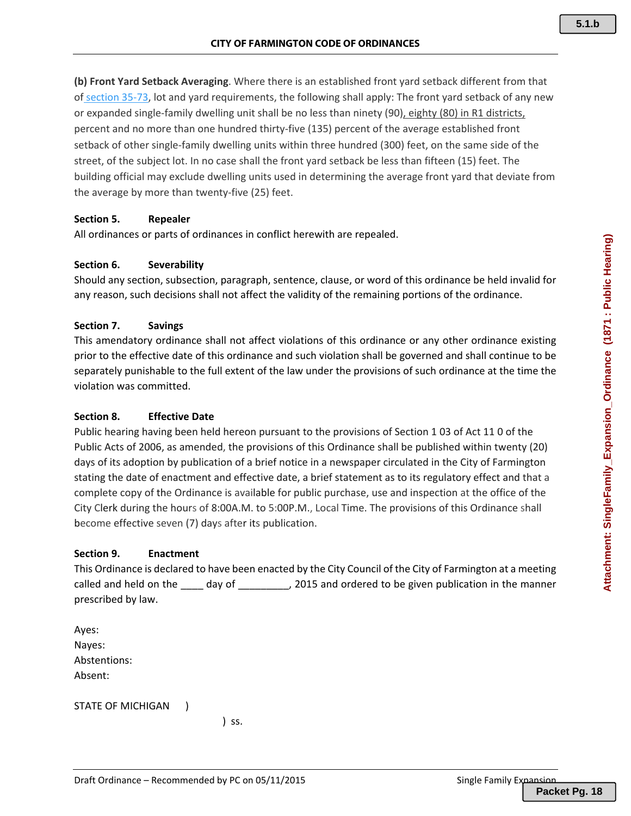**(b) Front Yard Setback Averaging**. Where there is an established front yard setback different from that of section 35‐73, lot and yard requirements, the following shall apply: The front yard setback of any new or expanded single‐family dwelling unit shall be no less than ninety (90), eighty (80) in R1 districts, percent and no more than one hundred thirty-five (135) percent of the average established front setback of other single‐family dwelling units within three hundred (300) feet, on the same side of the street, of the subject lot. In no case shall the front yard setback be less than fifteen (15) feet. The building official may exclude dwelling units used in determining the average front yard that deviate from the average by more than twenty‐five (25) feet.

### **Section 5. Repealer**

All ordinances or parts of ordinances in conflict herewith are repealed.

#### **Section 6. Severability**

Should any section, subsection, paragraph, sentence, clause, or word of this ordinance be held invalid for any reason, such decisions shall not affect the validity of the remaining portions of the ordinance.

#### **Section 7. Savings**

This amendatory ordinance shall not affect violations of this ordinance or any other ordinance existing prior to the effective date of this ordinance and such violation shall be governed and shall continue to be separately punishable to the full extent of the law under the provisions of such ordinance at the time the violation was committed.

#### **Section 8. Effective Date**

Public hearing having been held hereon pursuant to the provisions of Section 1 03 of Act 11 0 of the Public Acts of 2006, as amended, the provisions of this Ordinance shall be published within twenty (20) days of its adoption by publication of a brief notice in a newspaper circulated in the City of Farmington stating the date of enactment and effective date, a brief statement as to its regulatory effect and that a complete copy of the Ordinance is available for public purchase, use and inspection at the office of the City Clerk during the hours of 8:00A.M. to 5:00P.M., Local Time. The provisions of this Ordinance shall become effective seven (7) days after its publication.

#### **Section 9. Enactment**

This Ordinance is declared to have been enacted by the City Council of the City of Farmington at a meeting called and held on the day of **2015** and ordered to be given publication in the manner prescribed by law.

Ayes: Nayes: Abstentions: Absent:

STATE OF MICHIGAN )

 $\sim$  ) ss.